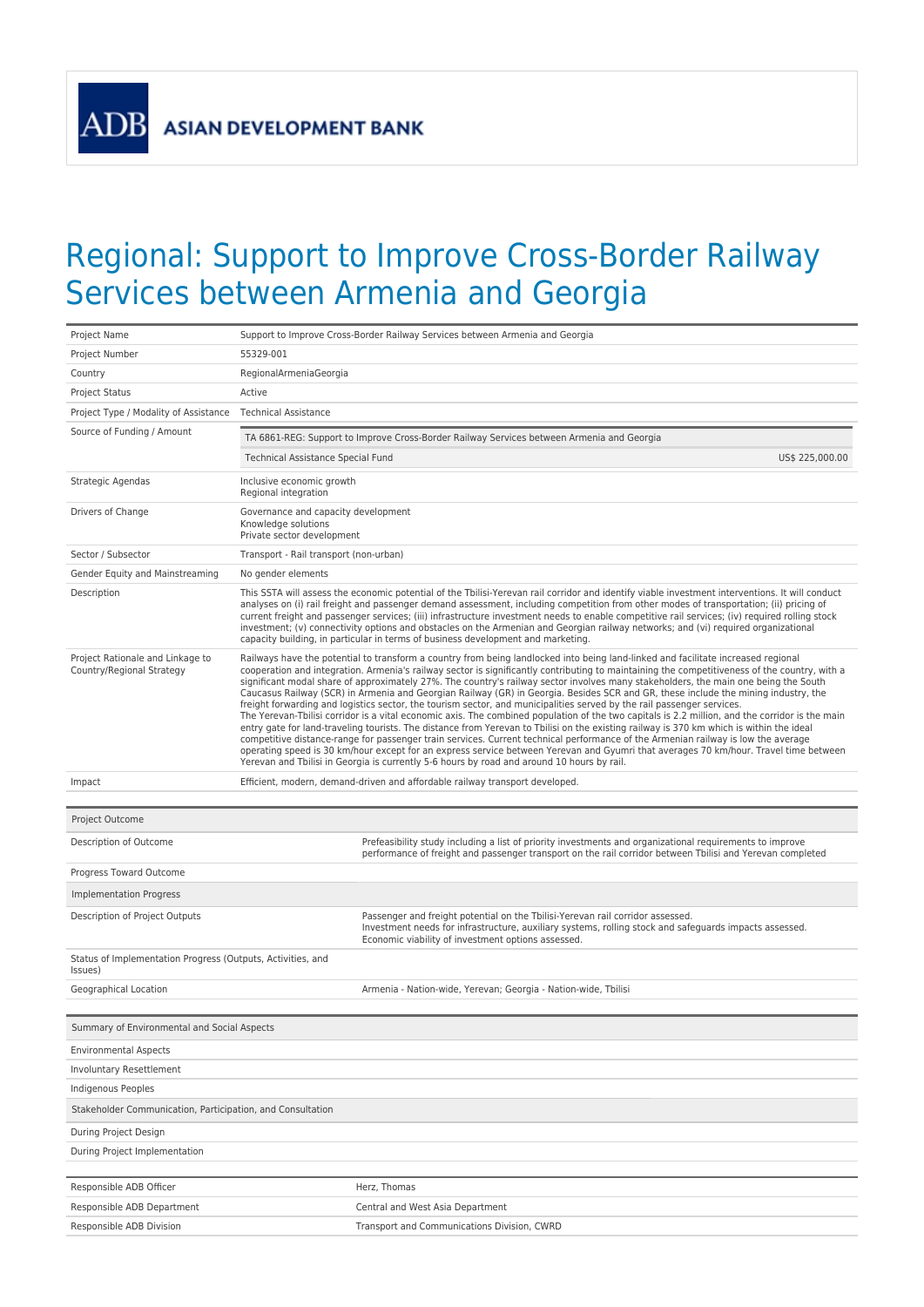**ADB** ASIAN DEVELOPMENT BANK

## Regional: Support to Improve Cross-Border Railway Services between Armenia and Georgia

| Project Name                                                           | Support to Improve Cross-Border Railway Services between Armenia and Georgia                                                                                                                                                                                                                                                                                                                                                                                                                                                                                                                                                                                           |                                                                                                                                                                                                                                                                                                                                                                                                                                                                                                                                                                                                                                                                                                                                                                                                                                                                                                                                                                                                                                                                                                                                                                                                                                                                                                                                                                     |  |
|------------------------------------------------------------------------|------------------------------------------------------------------------------------------------------------------------------------------------------------------------------------------------------------------------------------------------------------------------------------------------------------------------------------------------------------------------------------------------------------------------------------------------------------------------------------------------------------------------------------------------------------------------------------------------------------------------------------------------------------------------|---------------------------------------------------------------------------------------------------------------------------------------------------------------------------------------------------------------------------------------------------------------------------------------------------------------------------------------------------------------------------------------------------------------------------------------------------------------------------------------------------------------------------------------------------------------------------------------------------------------------------------------------------------------------------------------------------------------------------------------------------------------------------------------------------------------------------------------------------------------------------------------------------------------------------------------------------------------------------------------------------------------------------------------------------------------------------------------------------------------------------------------------------------------------------------------------------------------------------------------------------------------------------------------------------------------------------------------------------------------------|--|
| Project Number                                                         | 55329-001                                                                                                                                                                                                                                                                                                                                                                                                                                                                                                                                                                                                                                                              |                                                                                                                                                                                                                                                                                                                                                                                                                                                                                                                                                                                                                                                                                                                                                                                                                                                                                                                                                                                                                                                                                                                                                                                                                                                                                                                                                                     |  |
| Country                                                                | RegionalArmeniaGeorgia                                                                                                                                                                                                                                                                                                                                                                                                                                                                                                                                                                                                                                                 |                                                                                                                                                                                                                                                                                                                                                                                                                                                                                                                                                                                                                                                                                                                                                                                                                                                                                                                                                                                                                                                                                                                                                                                                                                                                                                                                                                     |  |
| <b>Project Status</b>                                                  | Active                                                                                                                                                                                                                                                                                                                                                                                                                                                                                                                                                                                                                                                                 |                                                                                                                                                                                                                                                                                                                                                                                                                                                                                                                                                                                                                                                                                                                                                                                                                                                                                                                                                                                                                                                                                                                                                                                                                                                                                                                                                                     |  |
| Project Type / Modality of Assistance                                  | <b>Technical Assistance</b>                                                                                                                                                                                                                                                                                                                                                                                                                                                                                                                                                                                                                                            |                                                                                                                                                                                                                                                                                                                                                                                                                                                                                                                                                                                                                                                                                                                                                                                                                                                                                                                                                                                                                                                                                                                                                                                                                                                                                                                                                                     |  |
| Source of Funding / Amount                                             | TA 6861-REG: Support to Improve Cross-Border Railway Services between Armenia and Georgia                                                                                                                                                                                                                                                                                                                                                                                                                                                                                                                                                                              |                                                                                                                                                                                                                                                                                                                                                                                                                                                                                                                                                                                                                                                                                                                                                                                                                                                                                                                                                                                                                                                                                                                                                                                                                                                                                                                                                                     |  |
|                                                                        | Technical Assistance Special Fund                                                                                                                                                                                                                                                                                                                                                                                                                                                                                                                                                                                                                                      | US\$ 225,000.00                                                                                                                                                                                                                                                                                                                                                                                                                                                                                                                                                                                                                                                                                                                                                                                                                                                                                                                                                                                                                                                                                                                                                                                                                                                                                                                                                     |  |
| Strategic Agendas                                                      | Inclusive economic growth<br>Regional integration                                                                                                                                                                                                                                                                                                                                                                                                                                                                                                                                                                                                                      |                                                                                                                                                                                                                                                                                                                                                                                                                                                                                                                                                                                                                                                                                                                                                                                                                                                                                                                                                                                                                                                                                                                                                                                                                                                                                                                                                                     |  |
| Drivers of Change                                                      | Governance and capacity development<br>Knowledge solutions<br>Private sector development                                                                                                                                                                                                                                                                                                                                                                                                                                                                                                                                                                               |                                                                                                                                                                                                                                                                                                                                                                                                                                                                                                                                                                                                                                                                                                                                                                                                                                                                                                                                                                                                                                                                                                                                                                                                                                                                                                                                                                     |  |
| Sector / Subsector                                                     | Transport - Rail transport (non-urban)                                                                                                                                                                                                                                                                                                                                                                                                                                                                                                                                                                                                                                 |                                                                                                                                                                                                                                                                                                                                                                                                                                                                                                                                                                                                                                                                                                                                                                                                                                                                                                                                                                                                                                                                                                                                                                                                                                                                                                                                                                     |  |
| Gender Equity and Mainstreaming                                        | No gender elements                                                                                                                                                                                                                                                                                                                                                                                                                                                                                                                                                                                                                                                     |                                                                                                                                                                                                                                                                                                                                                                                                                                                                                                                                                                                                                                                                                                                                                                                                                                                                                                                                                                                                                                                                                                                                                                                                                                                                                                                                                                     |  |
| Description                                                            | This SSTA will assess the economic potential of the Tbilisi-Yerevan rail corridor and identify viable investment interventions. It will conduct<br>analyses on (i) rail freight and passenger demand assessment, including competition from other modes of transportation; (ii) pricing of<br>current freight and passenger services; (iii) infrastructure investment needs to enable competitive rail services; (iv) required rolling stock<br>investment; (v) connectivity options and obstacles on the Armenian and Georgian railway networks; and (vi) required organizational<br>capacity building, in particular in terms of business development and marketing. |                                                                                                                                                                                                                                                                                                                                                                                                                                                                                                                                                                                                                                                                                                                                                                                                                                                                                                                                                                                                                                                                                                                                                                                                                                                                                                                                                                     |  |
| Project Rationale and Linkage to<br>Country/Regional Strategy          |                                                                                                                                                                                                                                                                                                                                                                                                                                                                                                                                                                                                                                                                        | Railways have the potential to transform a country from being landlocked into being land-linked and facilitate increased regional<br>cooperation and integration. Armenia's railway sector is significantly contributing to maintaining the competitiveness of the country, with a<br>significant modal share of approximately 27%. The country's railway sector involves many stakeholders, the main one being the South<br>Caucasus Railway (SCR) in Armenia and Georgian Railway (GR) in Georgia. Besides SCR and GR, these include the mining industry, the<br>freight forwarding and logistics sector, the tourism sector, and municipalities served by the rail passenger services.<br>The Yerevan-Tbilisi corridor is a vital economic axis. The combined population of the two capitals is 2.2 million, and the corridor is the main<br>entry gate for land-traveling tourists. The distance from Yerevan to Tbilisi on the existing railway is 370 km which is within the ideal<br>competitive distance-range for passenger train services. Current technical performance of the Armenian railway is low the average<br>operating speed is 30 km/hour except for an express service between Yerevan and Gyumri that averages 70 km/hour. Travel time between<br>Yerevan and Tbilisi in Georgia is currently 5-6 hours by road and around 10 hours by rail. |  |
| Impact                                                                 |                                                                                                                                                                                                                                                                                                                                                                                                                                                                                                                                                                                                                                                                        | Efficient, modern, demand-driven and affordable railway transport developed.                                                                                                                                                                                                                                                                                                                                                                                                                                                                                                                                                                                                                                                                                                                                                                                                                                                                                                                                                                                                                                                                                                                                                                                                                                                                                        |  |
|                                                                        |                                                                                                                                                                                                                                                                                                                                                                                                                                                                                                                                                                                                                                                                        |                                                                                                                                                                                                                                                                                                                                                                                                                                                                                                                                                                                                                                                                                                                                                                                                                                                                                                                                                                                                                                                                                                                                                                                                                                                                                                                                                                     |  |
|                                                                        |                                                                                                                                                                                                                                                                                                                                                                                                                                                                                                                                                                                                                                                                        |                                                                                                                                                                                                                                                                                                                                                                                                                                                                                                                                                                                                                                                                                                                                                                                                                                                                                                                                                                                                                                                                                                                                                                                                                                                                                                                                                                     |  |
| Project Outcome                                                        |                                                                                                                                                                                                                                                                                                                                                                                                                                                                                                                                                                                                                                                                        |                                                                                                                                                                                                                                                                                                                                                                                                                                                                                                                                                                                                                                                                                                                                                                                                                                                                                                                                                                                                                                                                                                                                                                                                                                                                                                                                                                     |  |
| Description of Outcome                                                 |                                                                                                                                                                                                                                                                                                                                                                                                                                                                                                                                                                                                                                                                        | Prefeasibility study including a list of priority investments and organizational requirements to improve<br>performance of freight and passenger transport on the rail corridor between Tbilisi and Yerevan completed                                                                                                                                                                                                                                                                                                                                                                                                                                                                                                                                                                                                                                                                                                                                                                                                                                                                                                                                                                                                                                                                                                                                               |  |
| Progress Toward Outcome                                                |                                                                                                                                                                                                                                                                                                                                                                                                                                                                                                                                                                                                                                                                        |                                                                                                                                                                                                                                                                                                                                                                                                                                                                                                                                                                                                                                                                                                                                                                                                                                                                                                                                                                                                                                                                                                                                                                                                                                                                                                                                                                     |  |
| Implementation Progress                                                |                                                                                                                                                                                                                                                                                                                                                                                                                                                                                                                                                                                                                                                                        |                                                                                                                                                                                                                                                                                                                                                                                                                                                                                                                                                                                                                                                                                                                                                                                                                                                                                                                                                                                                                                                                                                                                                                                                                                                                                                                                                                     |  |
| Description of Project Outputs                                         |                                                                                                                                                                                                                                                                                                                                                                                                                                                                                                                                                                                                                                                                        | Passenger and freight potential on the Tbilisi-Yerevan rail corridor assessed.<br>Investment needs for infrastructure, auxiliary systems, rolling stock and safeguards impacts assessed.<br>Economic viability of investment options assessed.                                                                                                                                                                                                                                                                                                                                                                                                                                                                                                                                                                                                                                                                                                                                                                                                                                                                                                                                                                                                                                                                                                                      |  |
| Status of Implementation Progress (Outputs, Activities, and<br>Issues) |                                                                                                                                                                                                                                                                                                                                                                                                                                                                                                                                                                                                                                                                        |                                                                                                                                                                                                                                                                                                                                                                                                                                                                                                                                                                                                                                                                                                                                                                                                                                                                                                                                                                                                                                                                                                                                                                                                                                                                                                                                                                     |  |
| Geographical Location                                                  |                                                                                                                                                                                                                                                                                                                                                                                                                                                                                                                                                                                                                                                                        | Armenia - Nation-wide, Yerevan; Georgia - Nation-wide, Tbilisi                                                                                                                                                                                                                                                                                                                                                                                                                                                                                                                                                                                                                                                                                                                                                                                                                                                                                                                                                                                                                                                                                                                                                                                                                                                                                                      |  |
| Summary of Environmental and Social Aspects                            |                                                                                                                                                                                                                                                                                                                                                                                                                                                                                                                                                                                                                                                                        |                                                                                                                                                                                                                                                                                                                                                                                                                                                                                                                                                                                                                                                                                                                                                                                                                                                                                                                                                                                                                                                                                                                                                                                                                                                                                                                                                                     |  |
| <b>Environmental Aspects</b>                                           |                                                                                                                                                                                                                                                                                                                                                                                                                                                                                                                                                                                                                                                                        |                                                                                                                                                                                                                                                                                                                                                                                                                                                                                                                                                                                                                                                                                                                                                                                                                                                                                                                                                                                                                                                                                                                                                                                                                                                                                                                                                                     |  |
| Involuntary Resettlement                                               |                                                                                                                                                                                                                                                                                                                                                                                                                                                                                                                                                                                                                                                                        |                                                                                                                                                                                                                                                                                                                                                                                                                                                                                                                                                                                                                                                                                                                                                                                                                                                                                                                                                                                                                                                                                                                                                                                                                                                                                                                                                                     |  |
| <b>Indigenous Peoples</b>                                              |                                                                                                                                                                                                                                                                                                                                                                                                                                                                                                                                                                                                                                                                        |                                                                                                                                                                                                                                                                                                                                                                                                                                                                                                                                                                                                                                                                                                                                                                                                                                                                                                                                                                                                                                                                                                                                                                                                                                                                                                                                                                     |  |
| Stakeholder Communication, Participation, and Consultation             |                                                                                                                                                                                                                                                                                                                                                                                                                                                                                                                                                                                                                                                                        |                                                                                                                                                                                                                                                                                                                                                                                                                                                                                                                                                                                                                                                                                                                                                                                                                                                                                                                                                                                                                                                                                                                                                                                                                                                                                                                                                                     |  |
| During Project Design                                                  |                                                                                                                                                                                                                                                                                                                                                                                                                                                                                                                                                                                                                                                                        |                                                                                                                                                                                                                                                                                                                                                                                                                                                                                                                                                                                                                                                                                                                                                                                                                                                                                                                                                                                                                                                                                                                                                                                                                                                                                                                                                                     |  |
| During Project Implementation                                          |                                                                                                                                                                                                                                                                                                                                                                                                                                                                                                                                                                                                                                                                        |                                                                                                                                                                                                                                                                                                                                                                                                                                                                                                                                                                                                                                                                                                                                                                                                                                                                                                                                                                                                                                                                                                                                                                                                                                                                                                                                                                     |  |
|                                                                        |                                                                                                                                                                                                                                                                                                                                                                                                                                                                                                                                                                                                                                                                        |                                                                                                                                                                                                                                                                                                                                                                                                                                                                                                                                                                                                                                                                                                                                                                                                                                                                                                                                                                                                                                                                                                                                                                                                                                                                                                                                                                     |  |
| Responsible ADB Officer                                                |                                                                                                                                                                                                                                                                                                                                                                                                                                                                                                                                                                                                                                                                        | Herz, Thomas                                                                                                                                                                                                                                                                                                                                                                                                                                                                                                                                                                                                                                                                                                                                                                                                                                                                                                                                                                                                                                                                                                                                                                                                                                                                                                                                                        |  |
| Responsible ADB Department                                             |                                                                                                                                                                                                                                                                                                                                                                                                                                                                                                                                                                                                                                                                        | Central and West Asia Department                                                                                                                                                                                                                                                                                                                                                                                                                                                                                                                                                                                                                                                                                                                                                                                                                                                                                                                                                                                                                                                                                                                                                                                                                                                                                                                                    |  |